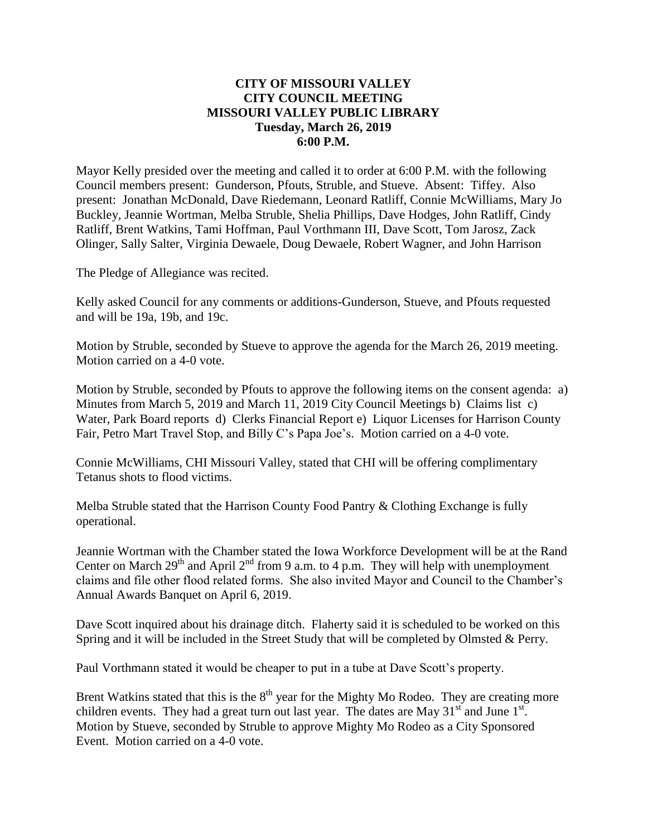## **CITY OF MISSOURI VALLEY CITY COUNCIL MEETING MISSOURI VALLEY PUBLIC LIBRARY Tuesday, March 26, 2019 6:00 P.M.**

Mayor Kelly presided over the meeting and called it to order at 6:00 P.M. with the following Council members present: Gunderson, Pfouts, Struble, and Stueve. Absent: Tiffey. Also present: Jonathan McDonald, Dave Riedemann, Leonard Ratliff, Connie McWilliams, Mary Jo Buckley, Jeannie Wortman, Melba Struble, Shelia Phillips, Dave Hodges, John Ratliff, Cindy Ratliff, Brent Watkins, Tami Hoffman, Paul Vorthmann III, Dave Scott, Tom Jarosz, Zack Olinger, Sally Salter, Virginia Dewaele, Doug Dewaele, Robert Wagner, and John Harrison

The Pledge of Allegiance was recited.

Kelly asked Council for any comments or additions-Gunderson, Stueve, and Pfouts requested and will be 19a, 19b, and 19c.

Motion by Struble, seconded by Stueve to approve the agenda for the March 26, 2019 meeting. Motion carried on a 4-0 vote.

Motion by Struble, seconded by Pfouts to approve the following items on the consent agenda: a) Minutes from March 5, 2019 and March 11, 2019 City Council Meetings b) Claims list c) Water, Park Board reports d) Clerks Financial Report e) Liquor Licenses for Harrison County Fair, Petro Mart Travel Stop, and Billy C's Papa Joe's. Motion carried on a 4-0 vote.

Connie McWilliams, CHI Missouri Valley, stated that CHI will be offering complimentary Tetanus shots to flood victims.

Melba Struble stated that the Harrison County Food Pantry & Clothing Exchange is fully operational.

Jeannie Wortman with the Chamber stated the Iowa Workforce Development will be at the Rand Center on March  $29<sup>th</sup>$  and April  $2<sup>nd</sup>$  from 9 a.m. to 4 p.m. They will help with unemployment claims and file other flood related forms. She also invited Mayor and Council to the Chamber's Annual Awards Banquet on April 6, 2019.

Dave Scott inquired about his drainage ditch. Flaherty said it is scheduled to be worked on this Spring and it will be included in the Street Study that will be completed by Olmsted & Perry.

Paul Vorthmann stated it would be cheaper to put in a tube at Dave Scott's property.

Brent Watkins stated that this is the  $8<sup>th</sup>$  year for the Mighty Mo Rodeo. They are creating more children events. They had a great turn out last year. The dates are May  $31<sup>st</sup>$  and June  $1<sup>st</sup>$ . Motion by Stueve, seconded by Struble to approve Mighty Mo Rodeo as a City Sponsored Event. Motion carried on a 4-0 vote.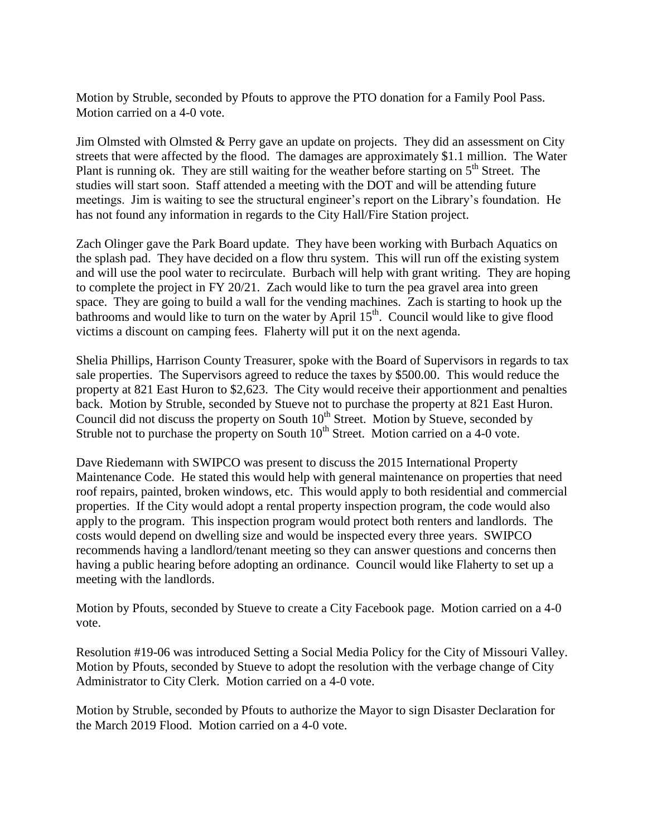Motion by Struble, seconded by Pfouts to approve the PTO donation for a Family Pool Pass. Motion carried on a 4-0 vote.

Jim Olmsted with Olmsted & Perry gave an update on projects. They did an assessment on City streets that were affected by the flood. The damages are approximately \$1.1 million. The Water Plant is running ok. They are still waiting for the weather before starting on  $5<sup>th</sup>$  Street. The studies will start soon. Staff attended a meeting with the DOT and will be attending future meetings. Jim is waiting to see the structural engineer's report on the Library's foundation. He has not found any information in regards to the City Hall/Fire Station project.

Zach Olinger gave the Park Board update. They have been working with Burbach Aquatics on the splash pad. They have decided on a flow thru system. This will run off the existing system and will use the pool water to recirculate. Burbach will help with grant writing. They are hoping to complete the project in FY 20/21. Zach would like to turn the pea gravel area into green space. They are going to build a wall for the vending machines. Zach is starting to hook up the bathrooms and would like to turn on the water by April  $15<sup>th</sup>$ . Council would like to give flood victims a discount on camping fees. Flaherty will put it on the next agenda.

Shelia Phillips, Harrison County Treasurer, spoke with the Board of Supervisors in regards to tax sale properties. The Supervisors agreed to reduce the taxes by \$500.00. This would reduce the property at 821 East Huron to \$2,623. The City would receive their apportionment and penalties back. Motion by Struble, seconded by Stueve not to purchase the property at 821 East Huron. Council did not discuss the property on South  $10<sup>th</sup>$  Street. Motion by Stueve, seconded by Struble not to purchase the property on South  $10<sup>th</sup>$  Street. Motion carried on a 4-0 vote.

Dave Riedemann with SWIPCO was present to discuss the 2015 International Property Maintenance Code. He stated this would help with general maintenance on properties that need roof repairs, painted, broken windows, etc. This would apply to both residential and commercial properties. If the City would adopt a rental property inspection program, the code would also apply to the program. This inspection program would protect both renters and landlords. The costs would depend on dwelling size and would be inspected every three years. SWIPCO recommends having a landlord/tenant meeting so they can answer questions and concerns then having a public hearing before adopting an ordinance. Council would like Flaherty to set up a meeting with the landlords.

Motion by Pfouts, seconded by Stueve to create a City Facebook page. Motion carried on a 4-0 vote.

Resolution #19-06 was introduced Setting a Social Media Policy for the City of Missouri Valley. Motion by Pfouts, seconded by Stueve to adopt the resolution with the verbage change of City Administrator to City Clerk. Motion carried on a 4-0 vote.

Motion by Struble, seconded by Pfouts to authorize the Mayor to sign Disaster Declaration for the March 2019 Flood. Motion carried on a 4-0 vote.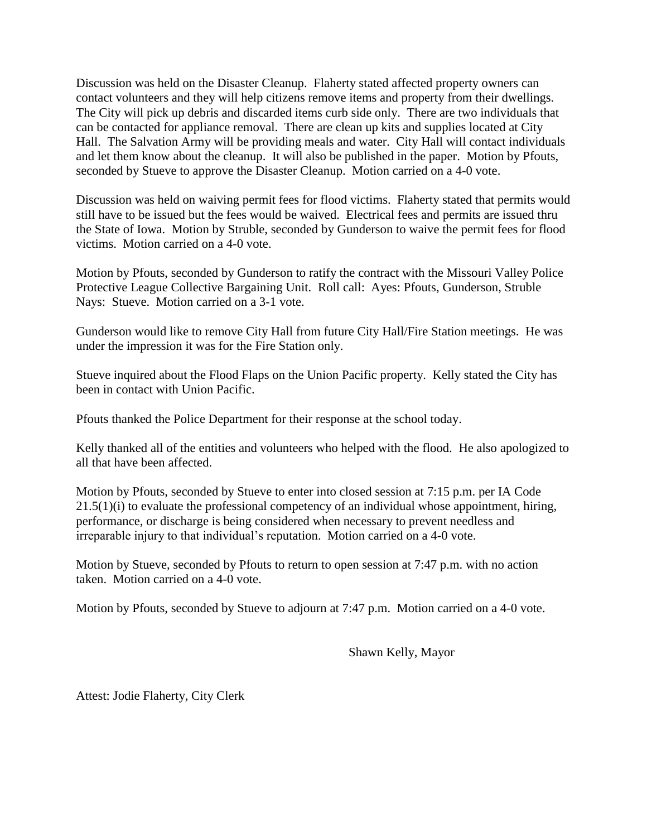Discussion was held on the Disaster Cleanup. Flaherty stated affected property owners can contact volunteers and they will help citizens remove items and property from their dwellings. The City will pick up debris and discarded items curb side only. There are two individuals that can be contacted for appliance removal. There are clean up kits and supplies located at City Hall. The Salvation Army will be providing meals and water. City Hall will contact individuals and let them know about the cleanup. It will also be published in the paper. Motion by Pfouts, seconded by Stueve to approve the Disaster Cleanup. Motion carried on a 4-0 vote.

Discussion was held on waiving permit fees for flood victims. Flaherty stated that permits would still have to be issued but the fees would be waived. Electrical fees and permits are issued thru the State of Iowa. Motion by Struble, seconded by Gunderson to waive the permit fees for flood victims. Motion carried on a 4-0 vote.

Motion by Pfouts, seconded by Gunderson to ratify the contract with the Missouri Valley Police Protective League Collective Bargaining Unit. Roll call: Ayes: Pfouts, Gunderson, Struble Nays: Stueve. Motion carried on a 3-1 vote.

Gunderson would like to remove City Hall from future City Hall/Fire Station meetings. He was under the impression it was for the Fire Station only.

Stueve inquired about the Flood Flaps on the Union Pacific property. Kelly stated the City has been in contact with Union Pacific.

Pfouts thanked the Police Department for their response at the school today.

Kelly thanked all of the entities and volunteers who helped with the flood. He also apologized to all that have been affected.

Motion by Pfouts, seconded by Stueve to enter into closed session at 7:15 p.m. per IA Code  $21.5(1)(i)$  to evaluate the professional competency of an individual whose appointment, hiring, performance, or discharge is being considered when necessary to prevent needless and irreparable injury to that individual's reputation. Motion carried on a 4-0 vote.

Motion by Stueve, seconded by Pfouts to return to open session at 7:47 p.m. with no action taken. Motion carried on a 4-0 vote.

Motion by Pfouts, seconded by Stueve to adjourn at 7:47 p.m. Motion carried on a 4-0 vote.

Shawn Kelly, Mayor

Attest: Jodie Flaherty, City Clerk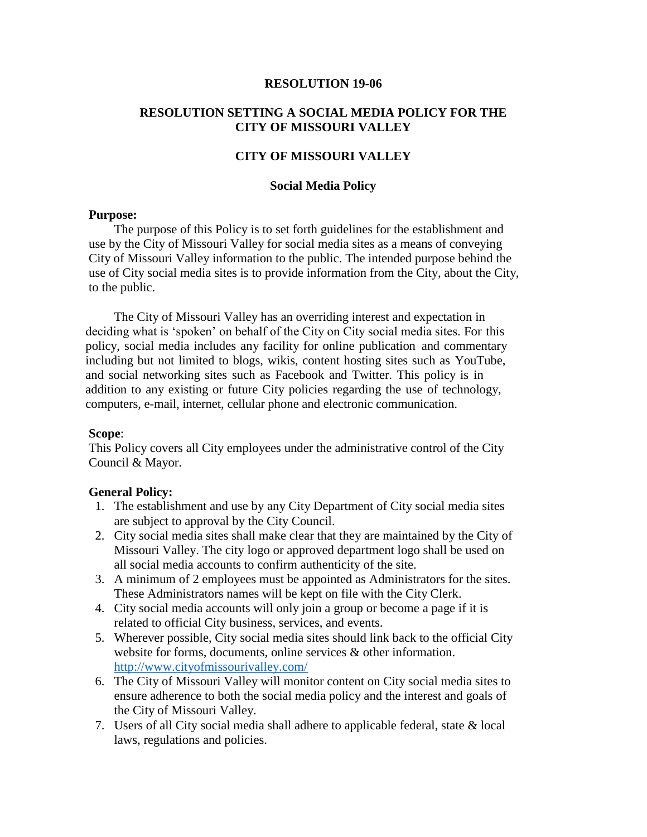### **RESOLUTION 19-06**

## **RESOLUTION SETTING A SOCIAL MEDIA POLICY FOR THE CITY OF MISSOURI VALLEY**

## **CITY OF MISSOURI VALLEY**

### **Social Media Policy**

## **Purpose:**

The purpose of this Policy is to set forth guidelines for the establishment and use by the City of Missouri Valley for social media sites as a means of conveying City of Missouri Valley information to the public. The intended purpose behind the use of City social media sites is to provide information from the City, about the City, to the public.

The City of Missouri Valley has an overriding interest and expectation in deciding what is 'spoken' on behalf of the City on City social media sites. For this policy, social media includes any facility for online publication and commentary including but not limited to blogs, wikis, content hosting sites such as YouTube, and social networking sites such as Facebook and Twitter. This policy is in addition to any existing or future City policies regarding the use of technology, computers, e-mail, internet, cellular phone and electronic communication.

### **Scope**:

This Policy covers all City employees under the administrative control of the City Council & Mayor.

#### **General Policy:**

- 1. The establishment and use by any City Department of City social media sites are subject to approval by the City Council.
- 2. City social media sites shall make clear that they are maintained by the City of Missouri Valley. The city logo or approved department logo shall be used on all social media accounts to confirm authenticity of the site.
- 3. A minimum of 2 employees must be appointed as Administrators for the sites. These Administrators names will be kept on file with the City Clerk.
- 4. City social media accounts will only join a group or become a page if it is related to official City business, services, and events.
- 5. Wherever possible, City social media sites should link back to the official City website for forms, documents, online services & other information. <http://www.cityofmissourivalley.com/>
- 6. The City of Missouri Valley will monitor content on City social media sites to ensure adherence to both the social media policy and the interest and goals of the City of Missouri Valley.
- 7. Users of all City social media shall adhere to applicable federal, state & local laws, regulations and policies.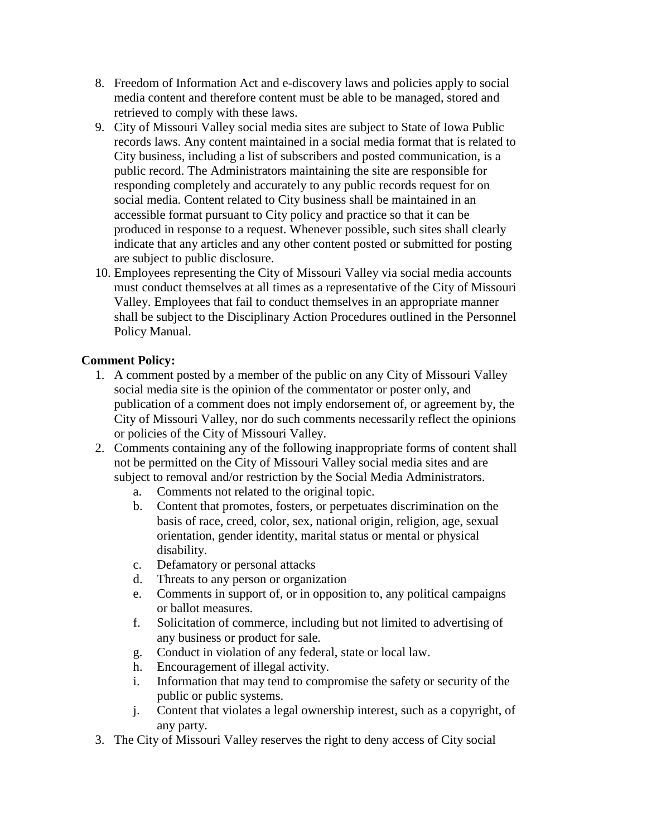- 8. Freedom of Information Act and e-discovery laws and policies apply to social media content and therefore content must be able to be managed, stored and retrieved to comply with these laws.
- 9. City of Missouri Valley social media sites are subject to State of Iowa Public records laws. Any content maintained in a social media format that is related to City business, including a list of subscribers and posted communication, is a public record. The Administrators maintaining the site are responsible for responding completely and accurately to any public records request for on social media. Content related to City business shall be maintained in an accessible format pursuant to City policy and practice so that it can be produced in response to a request. Whenever possible, such sites shall clearly indicate that any articles and any other content posted or submitted for posting are subject to public disclosure.
- 10. Employees representing the City of Missouri Valley via social media accounts must conduct themselves at all times as a representative of the City of Missouri Valley. Employees that fail to conduct themselves in an appropriate manner shall be subject to the Disciplinary Action Procedures outlined in the Personnel Policy Manual.

# **Comment Policy:**

- 1. A comment posted by a member of the public on any City of Missouri Valley social media site is the opinion of the commentator or poster only, and publication of a comment does not imply endorsement of, or agreement by, the City of Missouri Valley, nor do such comments necessarily reflect the opinions or policies of the City of Missouri Valley.
- 2. Comments containing any of the following inappropriate forms of content shall not be permitted on the City of Missouri Valley social media sites and are subject to removal and/or restriction by the Social Media Administrators.
	- a. Comments not related to the original topic.
	- b. Content that promotes, fosters, or perpetuates discrimination on the basis of race, creed, color, sex, national origin, religion, age, sexual orientation, gender identity, marital status or mental or physical disability.
	- c. Defamatory or personal attacks
	- d. Threats to any person or organization
	- e. Comments in support of, or in opposition to, any political campaigns or ballot measures.
	- f. Solicitation of commerce, including but not limited to advertising of any business or product for sale.
	- g. Conduct in violation of any federal, state or local law.
	- h. Encouragement of illegal activity.
	- i. Information that may tend to compromise the safety or security of the public or public systems.
	- j. Content that violates a legal ownership interest, such as a copyright, of any party.
- 3. The City of Missouri Valley reserves the right to deny access of City social